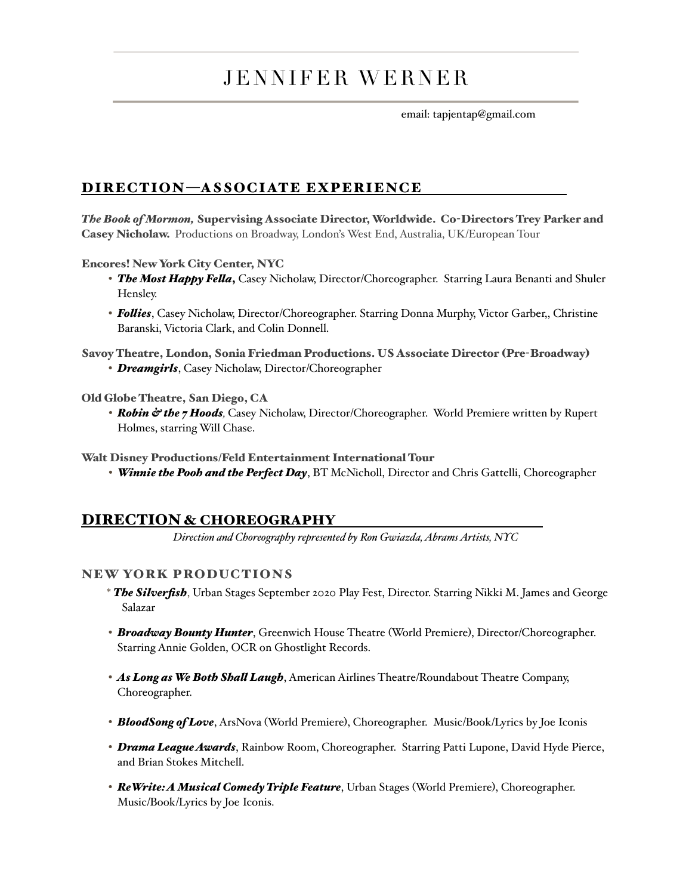# JENNIFER WERNER

email: tapjentap@gmail.com

## DIRECTION—ASSOCIATE EXPERIENCE

*The Book of Mormon,* Supervising Associate Director, Worldwide. Co-Directors Trey Parker and Casey Nicholaw. Productions on Broadway, London's West End, Australia, UK/European Tour

#### Encores! New York City Center, NYC

- *The Most Happy Fella*, Casey Nicholaw, Director/Choreographer. Starring Laura Benanti and Shuler Hensley.
- *Follies*, Casey Nicholaw, Director/Choreographer. Starring Donna Murphy, Victor Garber,, Christine Baranski, Victoria Clark, and Colin Donnell.

Savoy Theatre, London, Sonia Friedman Productions. US Associate Director (Pre-Broadway) • *Dreamgirls*, Casey Nicholaw, Director/Choreographer

#### Old Globe Theatre, San Diego, CA

*• Robin & the 7 Hoods,* Casey Nicholaw, Director/Choreographer. World Premiere written by Rupert Holmes, starring Will Chase.

#### Walt Disney Productions/Feld Entertainment International Tour

*• Winnie the Pooh and the Perfect Day*, BT McNicholl, Director and Chris Gattelli, Choreographer

## DIRECTION & CHOREOGRAPHY

*Direction and Choreography represented by Ron Gwiazda, Abrams Artists, NYC* 

## NEW YORK PRODUCTIONS

- \* *The Silverfish*, Urban Stages September 2020 Play Fest, Director. Starring Nikki M. James and George Salazar
- *Broadway Bounty Hunter*, Greenwich House Theatre (World Premiere), Director/Choreographer. Starring Annie Golden, OCR on Ghostlight Records.
- *As Long as We Both Shall Laugh*, American Airlines Theatre/Roundabout Theatre Company, Choreographer.
- *BloodSong of Love*, ArsNova (World Premiere), Choreographer. Music/Book/Lyrics by Joe Iconis
- *Drama League Awards*, Rainbow Room, Choreographer. Starring Patti Lupone, David Hyde Pierce, and Brian Stokes Mitchell.
- *ReWrite: A Musical Comedy Triple Feature*, Urban Stages (World Premiere), Choreographer. Music/Book/Lyrics by Joe Iconis.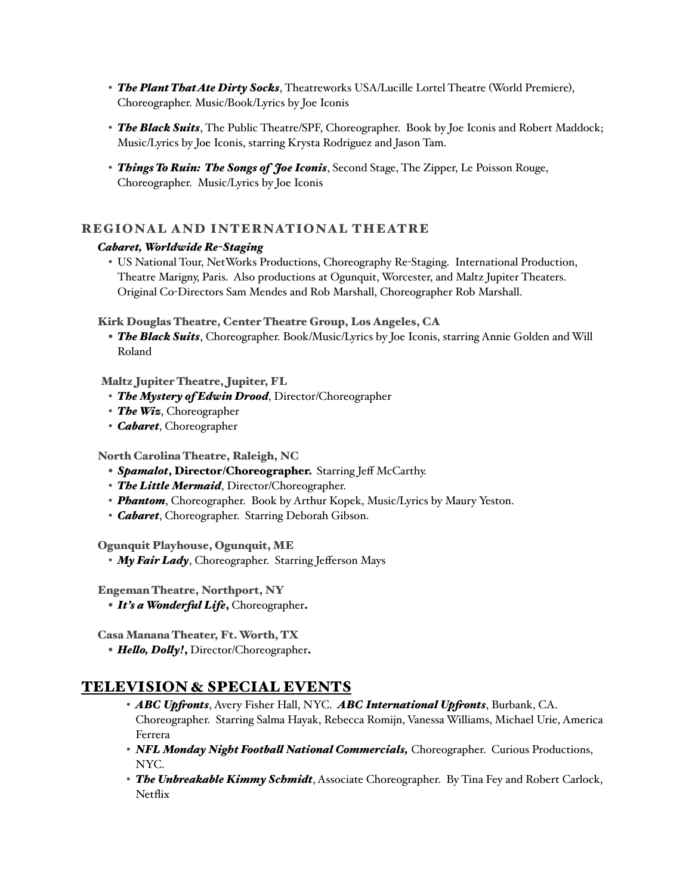- *The Plant That Ate Dirty Socks*, Theatreworks USA/Lucille Lortel Theatre (World Premiere), Choreographer. Music/Book/Lyrics by Joe Iconis
- *The Black Suits*, The Public Theatre/SPF, Choreographer. Book by Joe Iconis and Robert Maddock; Music/Lyrics by Joe Iconis, starring Krysta Rodriguez and Jason Tam.
- *Things To Ruin: The Songs of Joe Iconis*, Second Stage, The Zipper, Le Poisson Rouge, Choreographer. Music/Lyrics by Joe Iconis

### REGIONAL AND INTERNATIONAL THEATRE

#### *Cabaret, Worldwide Re-Staging*

• US National Tour, NetWorks Productions, Choreography Re-Staging. International Production, Theatre Marigny, Paris. Also productions at Ogunquit, Worcester, and Maltz Jupiter Theaters. Original Co-Directors Sam Mendes and Rob Marshall, Choreographer Rob Marshall.

#### Kirk Douglas Theatre, Center Theatre Group, Los Angeles, CA

• *The Black Suits*, Choreographer. Book/Music/Lyrics by Joe Iconis, starring Annie Golden and Will Roland

#### Maltz Jupiter Theatre, Jupiter, FL

- *The Mystery of Edwin Drood*, Director/Choreographer
- *The Wiz*, Choreographer
- *Cabaret*, Choreographer

#### North Carolina Theatre, Raleigh, NC

- *Spamalot*, Director/Choreographer. Starring Jeff McCarthy.
- *The Little Mermaid*, Director/Choreographer.
- *Phantom*, Choreographer. Book by Arthur Kopek, Music/Lyrics by Maury Yeston.
- *Cabaret*, Choreographer. Starring Deborah Gibson.

#### Ogunquit Playhouse, Ogunquit, ME

• *My Fair Lady*, Choreographer. Starring Jefferson Mays

Engeman Theatre, Northport, NY

• *It's a Wonderful Life*, Choreographer.

Casa Manana Theater, Ft. Worth, TX

• *Hello, Dolly!*, Director/Choreographer.

## TELEVISION & SPECIAL EVENTS

- *ABC Upfronts*, Avery Fisher Hall, NYC. *ABC International Upfronts*, Burbank, CA. Choreographer. Starring Salma Hayak, Rebecca Romijn, Vanessa Williams, Michael Urie, America Ferrera
- *NFL Monday Night Football National Commercials,* Choreographer. Curious Productions, NYC.
- *The Unbreakable Kimmy Schmidt*, Associate Choreographer. By Tina Fey and Robert Carlock, **Netflix**